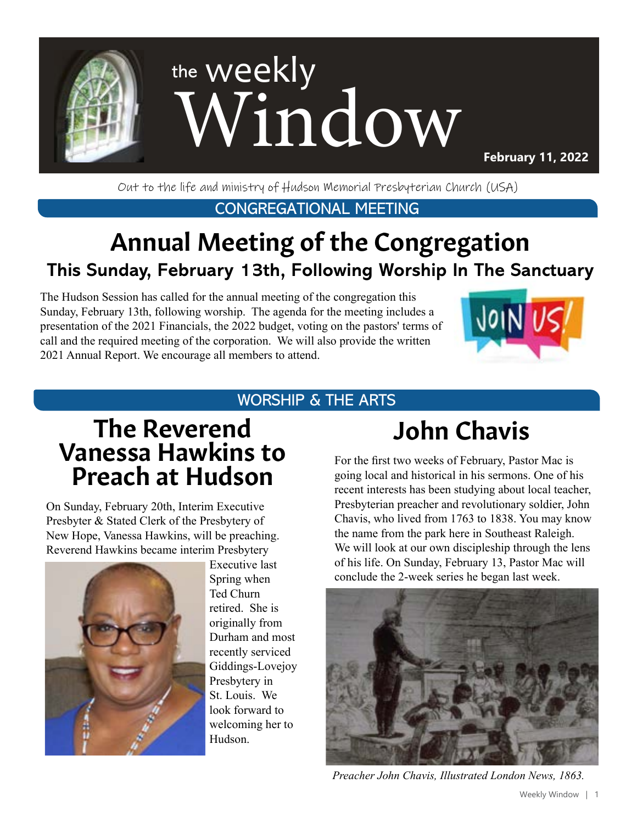

Out to the life and ministry of Hudson Memorial Presbyterian Church (USA)

CONGREGATIONAL MEETING

# Annual Meeting of the Congregation **This Sunday, February 13th, Following Worship In The Sanctuary**

The Hudson Session has called for the annual meeting of the congregation this Sunday, February 13th, following worship. The agenda for the meeting includes a presentation of the 2021 Financials, the 2022 budget, voting on the pastors' terms of call and the required meeting of the corporation. We will also provide the written 2021 Annual Report. We encourage all members to attend.



## WORSHIP & THE ARTS

# The Reverend Vanessa Hawkins to Preach at Hudson

On Sunday, February 20th, Interim Executive Presbyter & Stated Clerk of the Presbytery of New Hope, Vanessa Hawkins, will be preaching. Reverend Hawkins became interim Presbytery



Executive last Spring when Ted Churn retired. She is originally from Durham and most recently serviced Giddings-Lovejoy Presbytery in St. Louis. We look forward to welcoming her to Hudson.

# John Chavis

For the first two weeks of February, Pastor Mac is going local and historical in his sermons. One of his recent interests has been studying about local teacher, Presbyterian preacher and revolutionary soldier, John Chavis, who lived from 1763 to 1838. You may know the name from the park here in Southeast Raleigh. We will look at our own discipleship through the lens of his life. On Sunday, February 13, Pastor Mac will conclude the 2-week series he began last week.



*Preacher John Chavis, Illustrated London News, 1863.*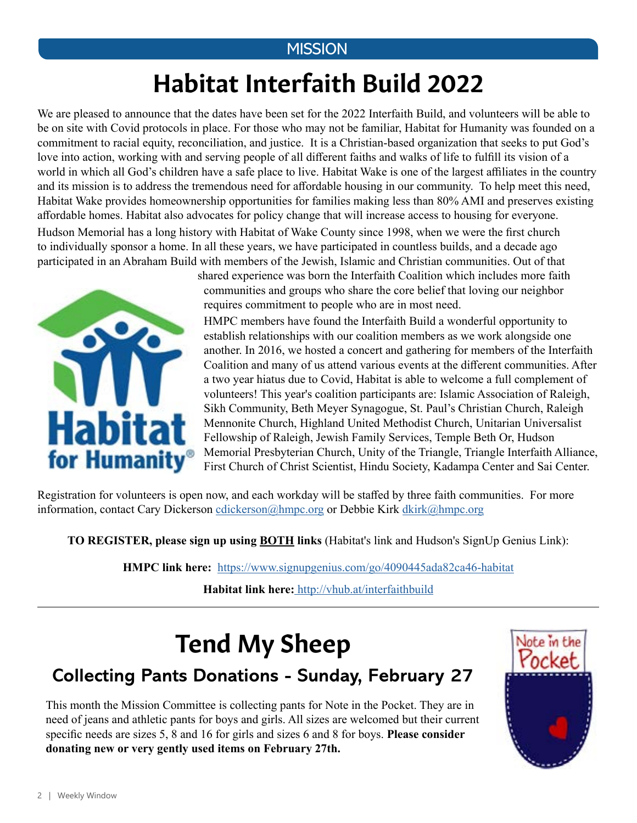### **MISSION**

# Habitat Interfaith Build 2022

We are pleased to announce that the dates have been set for the 2022 Interfaith Build, and volunteers will be able to be on site with Covid protocols in place. For those who may not be familiar, Habitat for Humanity was founded on a commitment to racial equity, reconciliation, and justice. It is a Christian-based organization that seeks to put God's love into action, working with and serving people of all different faiths and walks of life to fulfill its vision of a world in which all God's children have a safe place to live. Habitat Wake is one of the largest affiliates in the country and its mission is to address the tremendous need for affordable housing in our community. To help meet this need, Habitat Wake provides homeownership opportunities for families making less than 80% AMI and preserves existing affordable homes. Habitat also advocates for policy change that will increase access to housing for everyone.

Hudson Memorial has a long history with Habitat of Wake County since 1998, when we were the first church to individually sponsor a home. In all these years, we have participated in countless builds, and a decade ago participated in an Abraham Build with members of the Jewish, Islamic and Christian communities. Out of that



shared experience was born the Interfaith Coalition which includes more faith communities and groups who share the core belief that loving our neighbor requires commitment to people who are in most need.

HMPC members have found the Interfaith Build a wonderful opportunity to establish relationships with our coalition members as we work alongside one another. In 2016, we hosted a concert and gathering for members of the Interfaith Coalition and many of us attend various events at the different communities. After a two year hiatus due to Covid, Habitat is able to welcome a full complement of volunteers! This year's coalition participants are: Islamic Association of Raleigh, Sikh Community, Beth Meyer Synagogue, St. Paul's Christian Church, Raleigh Mennonite Church, Highland United Methodist Church, Unitarian Universalist Fellowship of Raleigh, Jewish Family Services, Temple Beth Or, Hudson Memorial Presbyterian Church, Unity of the Triangle, Triangle Interfaith Alliance, First Church of Christ Scientist, Hindu Society, Kadampa Center and Sai Center.

Registration for volunteers is open now, and each workday will be staffed by three faith communities. For more information, contact Cary Dickerson [cdickerson@hmpc.org](mailto:cdickerson%40hmpc.org?subject=) or Debbie Kirk [dkirk@hmpc.org](mailto:dkirk%40hmpc.org?subject=)

**TO REGISTER, please sign up using BOTH links** (Habitat's link and Hudson's SignUp Genius Link):

**HMPC link here:** <https://www.signupgenius.com/go/4090445ada82ca46-habitat>

**Habitat link here:** [http://vhub.at/interfaithbuild](https://habitatwake.volunteerhub.com/lp/interfaithbuild?format=0&filter={})

# Tend My Sheep

## **Collecting Pants Donations - Sunday, February 27**

This month the Mission Committee is collecting pants for Note in the Pocket. They are in need of jeans and athletic pants for boys and girls. All sizes are welcomed but their current specific needs are sizes 5, 8 and 16 for girls and sizes 6 and 8 for boys. **Please consider donating new or very gently used items on February 27th.**

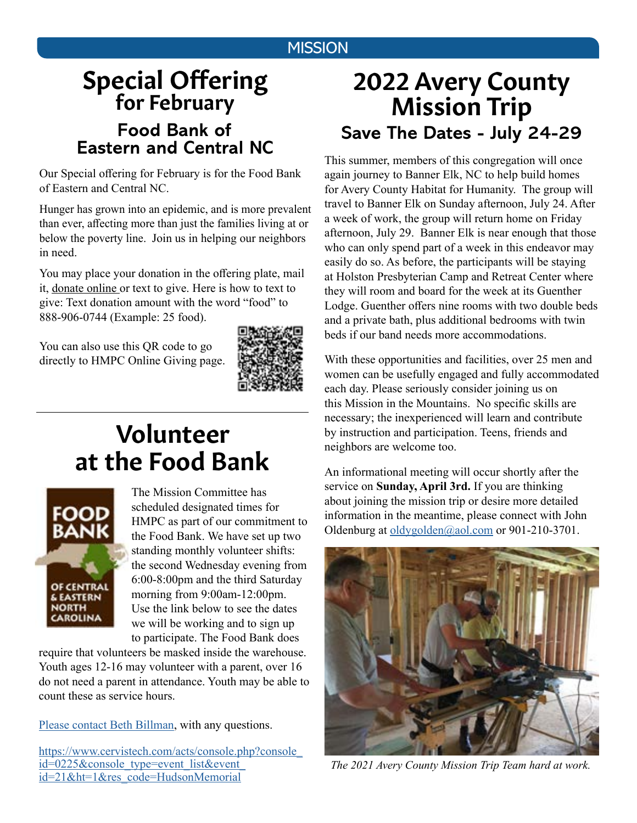## **MISSION**

# **Special Offering**<br>for February **Food Bank of Eastern and Central NC**

Our Special offering for February is for the Food Bank of Eastern and Central NC.

Hunger has grown into an epidemic, and is more prevalent than ever, affecting more than just the families living at or below the poverty line. Join us in helping our neighbors in need.

You may place your donation in the offering plate, mail it, [donate online](https://www.eservicepayments.com/cgi-bin/Vanco_ver3.vps?appver3=Fi1giPL8kwX_Oe1AO50jRnQ574HZh5kFEHVJ6e5We_Us4NSQukCYDzKLUtTTUlsf2EvVVAEjqawDomKT1pbouTsRltlX7QEmZN4jxtbsYBc=&ver=3) or text to give. Here is how to text to give: Text donation amount with the word "food" to 888-906-0744 (Example: 25 food).

You can also use this QR code to go directly to HMPC Online Giving page.



# at the Food Bank Volunteer



The Mission Committee has scheduled designated times for HMPC as part of our commitment to the Food Bank. We have set up two standing monthly volunteer shifts: the second Wednesday evening from 6:00-8:00pm and the third Saturday morning from 9:00am-12:00pm. Use the link below to see the dates we will be working and to sign up to participate. The Food Bank does

require that volunteers be masked inside the warehouse. Youth ages 12-16 may volunteer with a parent, over 16 do not need a parent in attendance. Youth may be able to count these as service hours.

[Please contact Beth Billman](mailto:bbillman%40nc.rr.com?subject=), with any questions.

[https://www.cervistech.com/acts/console.php?console\\_](https://www.cervistech.com/acts/console.php?console_id=0225&console_type=event_list&event_id=21&ht=1&res_code=HudsonMemorial) [id=0225&console\\_type=event\\_list&event\\_](https://www.cervistech.com/acts/console.php?console_id=0225&console_type=event_list&event_id=21&ht=1&res_code=HudsonMemorial) [id=21&ht=1&res\\_code=HudsonMemorial](https://www.cervistech.com/acts/console.php?console_id=0225&console_type=event_list&event_id=21&ht=1&res_code=HudsonMemorial)

## 2022 Avery County Mission Trip **Save The Dates - July 24-29**

This summer, members of this congregation will once again journey to Banner Elk, NC to help build homes for Avery County Habitat for Humanity. The group will travel to Banner Elk on Sunday afternoon, July 24. After a week of work, the group will return home on Friday afternoon, July 29. Banner Elk is near enough that those who can only spend part of a week in this endeavor may easily do so. As before, the participants will be staying at Holston Presbyterian Camp and Retreat Center where they will room and board for the week at its Guenther Lodge. Guenther offers nine rooms with two double beds and a private bath, plus additional bedrooms with twin beds if our band needs more accommodations.

With these opportunities and facilities, over 25 men and women can be usefully engaged and fully accommodated each day. Please seriously consider joining us on this Mission in the Mountains. No specific skills are necessary; the inexperienced will learn and contribute by instruction and participation. Teens, friends and neighbors are welcome too.

An informational meeting will occur shortly after the service on **Sunday, April 3rd.** If you are thinking about joining the mission trip or desire more detailed information in the meantime, please connect with John Oldenburg at [oldygolden@aol.com](mailto:oldygolden%40aol.com?subject=) or 901-210-3701.



*The 2021 Avery County Mission Trip Team hard at work.*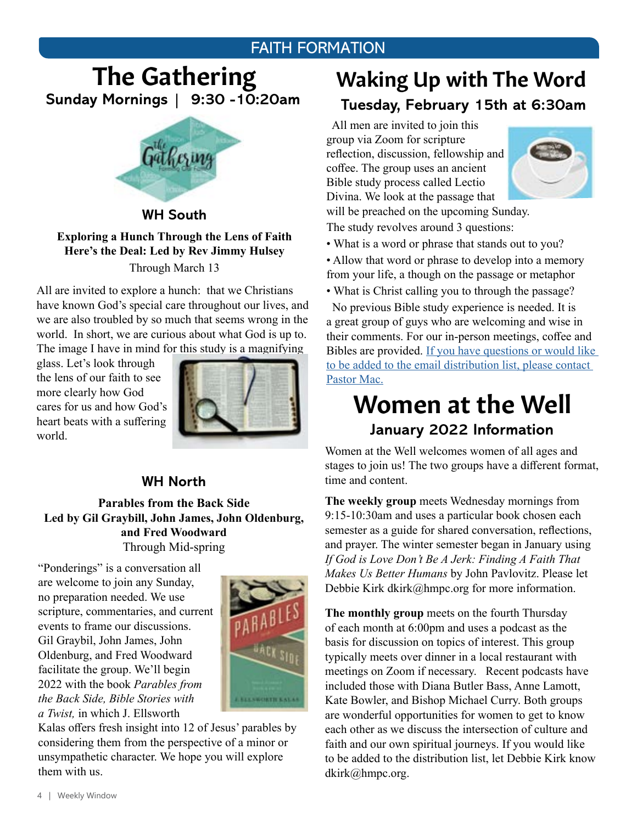### FAITH FORMATION

## The Gathering **Sunday Mornings | 9:30 -10:20am**



#### **WH South**

#### **Exploring a Hunch Through the Lens of Faith Here's the Deal: Led by Rev Jimmy Hulsey** Through March 13

All are invited to explore a hunch: that we Christians have known God's special care throughout our lives, and we are also troubled by so much that seems wrong in the world. In short, we are curious about what God is up to. The image I have in mind for this study is a magnifying

glass. Let's look through the lens of our faith to see more clearly how God cares for us and how God's heart beats with a suffering world.



#### **WH North**

#### **Parables from the Back Side Led by Gil Graybill, John James, John Oldenburg, and Fred Woodward**  Through Mid-spring

"Ponderings" is a conversation all are welcome to join any Sunday, no preparation needed. We use scripture, commentaries, and current events to frame our discussions. Gil Graybil, John James, John Oldenburg, and Fred Woodward facilitate the group. We'll begin 2022 with the book *Parables from the Back Side, Bible Stories with a Twist,* in which J. Ellsworth



Kalas offers fresh insight into 12 of Jesus' parables by considering them from the perspective of a minor or unsympathetic character. We hope you will explore them with us.

## Waking Up with The Word **Tuesday, February 15th at 6:30am**

 All men are invited to join this group via Zoom for scripture reflection, discussion, fellowship and coffee. The group uses an ancient Bible study process called Lectio Divina. We look at the passage that



will be preached on the upcoming Sunday. The study revolves around 3 questions:

- What is a word or phrase that stands out to you?
- Allow that word or phrase to develop into a memory from your life, a though on the passage or metaphor
- What is Christ calling you to through the passage?

 No previous Bible study experience is needed. It is a great group of guys who are welcoming and wise in their comments. For our in-person meetings, coffee and Bibles are provided. [If you have questions or would like](mailto:mschafer%40hmpc.org?subject=)  [to be added to the email distribution list, please contact](mailto:mschafer%40hmpc.org?subject=)  [Pastor Mac.](mailto:mschafer%40hmpc.org?subject=)

## Women at the Well **January 2022 Information**

Women at the Well welcomes women of all ages and stages to join us! The two groups have a different format, time and content.

**The weekly group** meets Wednesday mornings from 9:15-10:30am and uses a particular book chosen each semester as a guide for shared conversation, reflections, and prayer. The winter semester began in January using *If God is Love Don't Be A Jerk: Finding A Faith That Makes Us Better Humans* by John Pavlovitz. Please let Debbie Kirk dkirk@hmpc.org for more information.

**The monthly group** meets on the fourth Thursday of each month at 6:00pm and uses a podcast as the basis for discussion on topics of interest. This group typically meets over dinner in a local restaurant with meetings on Zoom if necessary. Recent podcasts have included those with Diana Butler Bass, Anne Lamott, Kate Bowler, and Bishop Michael Curry. Both groups are wonderful opportunities for women to get to know each other as we discuss the intersection of culture and faith and our own spiritual journeys. If you would like to be added to the distribution list, let Debbie Kirk know dkirk@hmpc.org.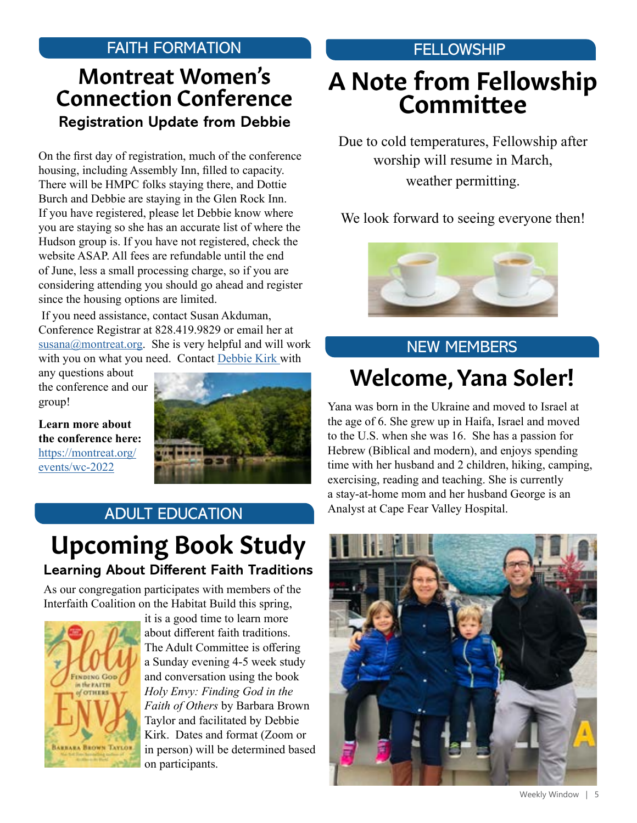## FAITH FORMATION

## Montreat Women's Connection Conference **Registration Update from Debbie**

On the first day of registration, much of the conference housing, including Assembly Inn, filled to capacity. There will be HMPC folks staying there, and Dottie Burch and Debbie are staying in the Glen Rock Inn. If you have registered, please let Debbie know where you are staying so she has an accurate list of where the Hudson group is. If you have not registered, check the website ASAP. All fees are refundable until the end of June, less a small processing charge, so if you are considering attending you should go ahead and register since the housing options are limited.

 If you need assistance, contact Susan Akduman, Conference Registrar at 828.419.9829 or email her at [susana@montreat.org](mailto:susana%40montreat.org?subject=). She is very helpful and will work with you on what you need. Contact [Debbie Kirk](mailto:dkirk%40hmpc.org?subject=) with

any questions about the conference and our group!

**Learn more about the conference here:** [https://montreat.org/](https://montreat.org/events/wc-2022 ) [events/wc-2022](https://montreat.org/events/wc-2022 )



## ADULT EDUCATION

## Upcoming Book Study **Learning About Different Faith Traditions**

As our congregation participates with members of the Interfaith Coalition on the Habitat Build this spring,



it is a good time to learn more about different faith traditions. The Adult Committee is offering a Sunday evening 4-5 week study and conversation using the book *Holy Envy: Finding God in the Faith of Others* by Barbara Brown Taylor and facilitated by Debbie Kirk. Dates and format (Zoom or in person) will be determined based on participants.

## **FELLOWSHIP**

# A Note from Fellowship Committee

Due to cold temperatures, Fellowship after worship will resume in March, weather permitting.

We look forward to seeing everyone then!



## Welcome, Yana Soler! NEW MEMBERS

Yana was born in the Ukraine and moved to Israel at the age of 6. She grew up in Haifa, Israel and moved to the U.S. when she was 16. She has a passion for Hebrew (Biblical and modern), and enjoys spending time with her husband and 2 children, hiking, camping, exercising, reading and teaching. She is currently a stay-at-home mom and her husband George is an Analyst at Cape Fear Valley Hospital.

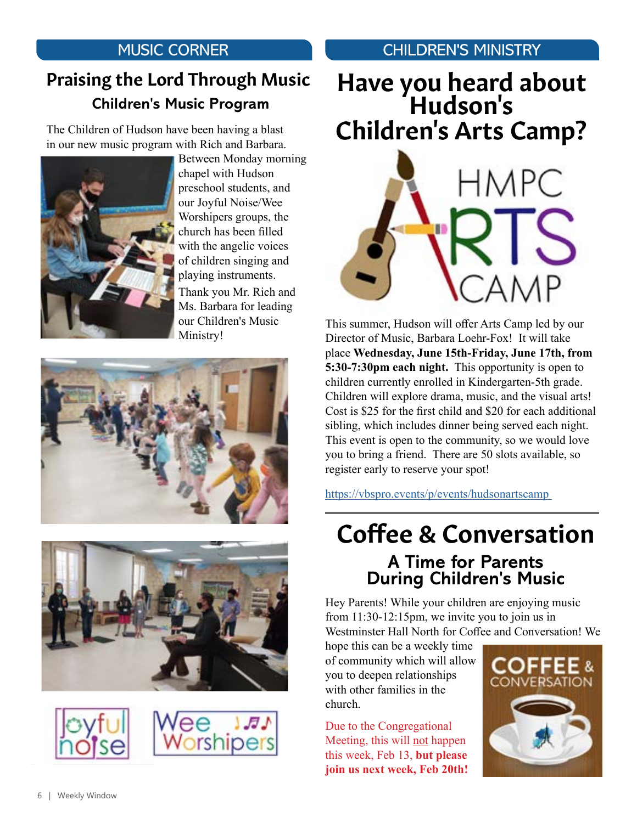## MUSIC CORNER

## Praising the Lord Through Music  **Children's Music Program**

The Children of Hudson have been having a blast in our new music program with Rich and Barbara.



Between Monday morning chapel with Hudson preschool students, and our Joyful Noise/Wee Worshipers groups, the church has been filled with the angelic voices of children singing and playing instruments. Thank you Mr. Rich and Ms. Barbara for leading our Children's Music Ministry!









## CHILDREN'S MINISTRY

# Have you heard about Hudson's Children's Arts Camp?



This summer, Hudson will offer Arts Camp led by our Director of Music, Barbara Loehr-Fox! It will take place **Wednesday, June 15th-Friday, June 17th, from 5:30-7:30pm each night.** This opportunity is open to children currently enrolled in Kindergarten-5th grade. Children will explore drama, music, and the visual arts! Cost is \$25 for the first child and \$20 for each additional sibling, which includes dinner being served each night. This event is open to the community, so we would love you to bring a friend. There are 50 slots available, so register early to reserve your spot!

[https://vbspro.events/p/events/hudsonartscamp](https://vbspro.events/p/events/hudsonartscamp ) 

## Coffee & Conversation **A Time for Parents During Children's Music**

Hey Parents! While your children are enjoying music from 11:30-12:15pm, we invite you to join us in Westminster Hall North for Coffee and Conversation! We

hope this can be a weekly time of community which will allow you to deepen relationships with other families in the church.

Due to the Congregational Meeting, this will not happen this week, Feb 13, **but please join us next week, Feb 20th!** 

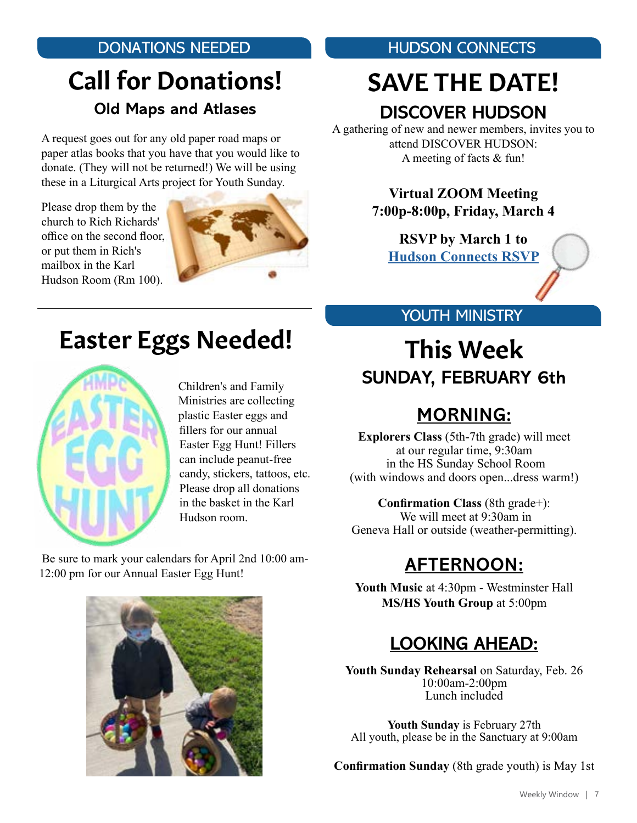## DONATIONS NEEDED

# Call for Donations! **Old Maps and Atlases**

A request goes out for any old paper road maps or paper atlas books that you have that you would like to donate. (They will not be returned!) We will be using these in a Liturgical Arts project for Youth Sunday.

Please drop them by the church to Rich Richards' office on the second floor, or put them in Rich's mailbox in the Karl Hudson Room (Rm 100).



# Easter Eggs Needed!



Children's and Family Ministries are collecting plastic Easter eggs and fillers for our annual Easter Egg Hunt! Fillers can include peanut-free candy, stickers, tattoos, etc. Please drop all donations in the basket in the Karl Hudson room.

 Be sure to mark your calendars for April 2nd 10:00 am-12:00 pm for our Annual Easter Egg Hunt!



HUDSON CONNECTS

# SAVE THE DATE! **DISCOVER HUDSON**

A gathering of new and newer members, invites you to attend DISCOVER HUDSON: A meeting of facts & fun!

> **Virtual ZOOM Meeting 7:00p-8:00p, Friday, March 4**

**RSVP by March 1 to [Hudson Connects RSVP](mailto:jamescbumgardner%40gmail.com%3B%20armouw%40gmail.com?subject=)**

#### YOUTH MINISTRY

## This Week **SUNDAY, FEBRUARY 6th**

## **MORNING:**

**Explorers Class** (5th-7th grade) will meet at our regular time, 9:30am in the HS Sunday School Room (with windows and doors open...dress warm!)

#### **Confirmation Class** (8th grade+):

 We will meet at 9:30am in Geneva Hall or outside (weather-permitting).

## **AFTERNOON:**

**Youth Music** at 4:30pm - Westminster Hall **MS/HS Youth Group** at 5:00pm

## **LOOKING AHEAD:**

**Youth Sunday Rehearsal** on Saturday, Feb. 26 10:00am-2:00pm Lunch included

**Youth Sunday** is February 27th All youth, please be in the Sanctuary at 9:00am

**Confirmation Sunday** (8th grade youth) is May 1st